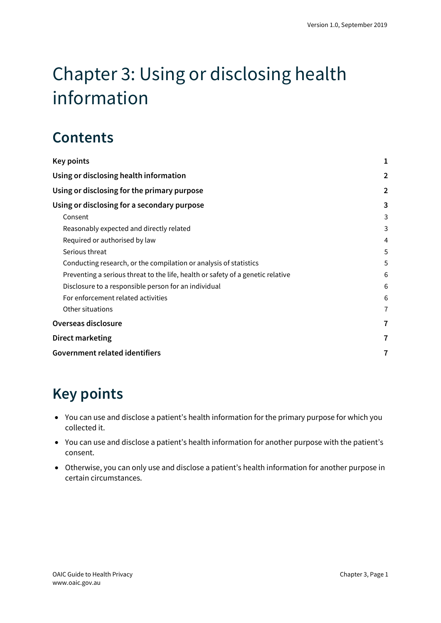# Chapter 3: Using or disclosing health information

# **Contents**

| Key points                                                                      | 1              |
|---------------------------------------------------------------------------------|----------------|
| Using or disclosing health information                                          | $\overline{2}$ |
| Using or disclosing for the primary purpose                                     | $\overline{2}$ |
| Using or disclosing for a secondary purpose                                     | 3              |
| Consent                                                                         | 3              |
| Reasonably expected and directly related                                        | 3              |
| Required or authorised by law                                                   | 4              |
| Serious threat                                                                  | 5              |
| Conducting research, or the compilation or analysis of statistics               | 5              |
| Preventing a serious threat to the life, health or safety of a genetic relative | 6              |
| Disclosure to a responsible person for an individual                            | 6              |
| For enforcement related activities                                              | 6              |
| Other situations                                                                | 7              |
| Overseas disclosure                                                             | 7              |
| Direct marketing                                                                | 7              |
| Government related identifiers                                                  | 7              |

# <span id="page-0-0"></span>**Key points**

- You can use and disclose a patient's health information for the primary purpose for which you collected it.
- You can use and disclose a patient's health information for another purpose with the patient's consent.
- Otherwise, you can only use and disclose a patient's health information for another purpose in certain circumstances.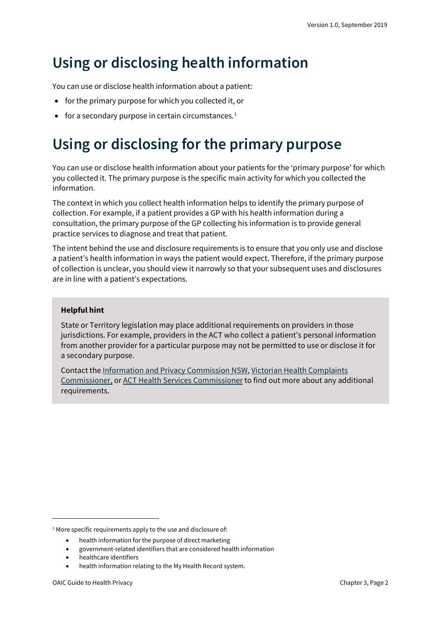# <span id="page-1-0"></span>**Using or disclosing health information**

You can use or disclose health information about a patient:

- for the primary purpose for which you collected it, or
- for a secondary purpose in certain circumstances. $1$

# <span id="page-1-1"></span>**Using or disclosing for the primary purpose**

You can use or disclose health information about your patients for the 'primary purpose' for which you collected it. The primary purpose is the specific main activity for which you collected the information.

The context in which you collect health information helps to identify the primary purpose of collection. For example, if a patient provides a GP with his health information during a consultation, the primary purpose of the GP collecting his information is to provide general practice services to diagnose and treat that patient.

The intent behind the use and disclosure requirements is to ensure that you only use and disclose a patient's health information in ways the patient would expect. Therefore, if the primary purpose of collection is unclear, you should view it narrowly so that your subsequent uses and disclosures are in line with a patient's expectations.

#### **Helpful hint**

State or Territory legislation may place additional requirements on providers in those jurisdictions. For example, providers in the ACT who collect a patient's personal information from another provider for a particular purpose may not be permitted to use or disclose it for a secondary purpose.

Contact th[e Information and Privacy Commission NSW,](https://www.ipc.nsw.gov.au/) [Victorian Health Complaints](https://hcc.vic.gov.au/)  [Commissioner,](https://hcc.vic.gov.au/) o[r ACT Health Services Commissioner](https://hrc.act.gov.au/health/) to find out more about any additional requirements.

<span id="page-1-2"></span><sup>&</sup>lt;sup>1</sup> More specific requirements apply to the use and disclosure of:

<sup>•</sup> health information for the purpose of direct marketing

<sup>•</sup> government-related identifiers that are considered health information

<sup>•</sup> healthcare identifiers

<sup>•</sup> health information relating to the My Health Record system.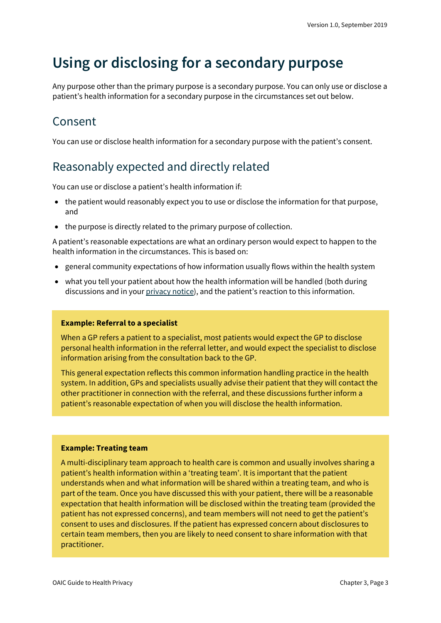# <span id="page-2-0"></span>**Using or disclosing for a secondary purpose**

Any purpose other than the primary purpose is a secondary purpose. You can only use or disclose a patient's health information for a secondary purpose in the circumstances set out below.

### <span id="page-2-1"></span>Consent

You can use or disclose health information for a secondary purpose with the patient's consent.

### <span id="page-2-2"></span>Reasonably expected and directly related

You can use or disclose a patient's health information if:

- the patient would reasonably expect you to use or disclose the information for that purpose, and
- the purpose is directly related to the primary purpose of collection.

A patient's reasonable expectations are what an ordinary person would expect to happen to the health information in the circumstances. This is based on:

- general community expectations of how information usually flows within the health system
- what you tell your patient about how the health information will be handled (both during discussions and in your [privacy notice\)](https://oaic.gov.au/privacy/guidance-and-advice/guide-to-health-privacy/chapter-2-collecting-health-information/#notifying-patients-of-collection-privacy-notices), and the patient's reaction to this information.

#### **Example: Referral to a specialist**

When a GP refers a patient to a specialist, most patients would expect the GP to disclose personal health information in the referral letter, and would expect the specialist to disclose information arising from the consultation back to the GP.

This general expectation reflects this common information handling practice in the health system. In addition, GPs and specialists usually advise their patient that they will contact the other practitioner in connection with the referral, and these discussions further inform a patient's reasonable expectation of when you will disclose the health information.

#### **Example: Treating team**

A multi-disciplinary team approach to health care is common and usually involves sharing a patient's health information within a 'treating team'. It is important that the patient understands when and what information will be shared within a treating team, and who is part of the team. Once you have discussed this with your patient, there will be a reasonable expectation that health information will be disclosed within the treating team (provided the patient has not expressed concerns), and team members will not need to get the patient's consent to uses and disclosures. If the patient has expressed concern about disclosures to certain team members, then you are likely to need consent to share information with that practitioner.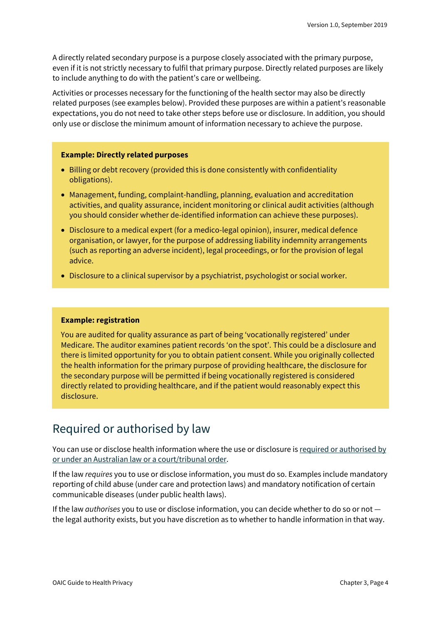A directly related secondary purpose is a purpose closely associated with the primary purpose, even if it is not strictly necessary to fulfil that primary purpose. Directly related purposes are likely to include anything to do with the patient's care or wellbeing.

Activities or processes necessary for the functioning of the health sector may also be directly related purposes (see examples below). Provided these purposes are within a patient's reasonable expectations, you do not need to take other steps before use or disclosure. In addition, you should only use or disclose the minimum amount of information necessary to achieve the purpose.

#### **Example: Directly related purposes**

- Billing or debt recovery (provided this is done consistently with confidentiality obligations).
- Management, funding, complaint-handling, planning, evaluation and accreditation activities, and quality assurance, incident monitoring or clinical audit activities (although you should consider whether de-identified information can achieve these purposes).
- Disclosure to a medical expert (for a medico-legal opinion), insurer, medical defence organisation, or lawyer, for the purpose of addressing liability indemnity arrangements (such as reporting an adverse incident), legal proceedings, or for the provision of legal advice.
- Disclosure to a clinical supervisor by a psychiatrist, psychologist or social worker.

#### **Example: registration**

You are audited for quality assurance as part of being 'vocationally registered' under Medicare. The auditor examines patient records 'on the spot'. This could be a disclosure and there is limited opportunity for you to obtain patient consent. While you originally collected the health information for the primary purpose of providing healthcare, the disclosure for the secondary purpose will be permitted if being vocationally registered is considered directly related to providing healthcare, and if the patient would reasonably expect this disclosure.

### <span id="page-3-0"></span>Required or authorised by law

You can use or disclose health information where the use or disclosure i[s required or authorised by](https://oaic.gov.au/privacy/australian-privacy-principles-guidelines/chapter-b-key-concepts/#required-or-authorised-by-or-under-an-australian-law-or-a-courttribunal-order)  [or under an Australian law or a court/tribunal order.](https://oaic.gov.au/privacy/australian-privacy-principles-guidelines/chapter-b-key-concepts/#required-or-authorised-by-or-under-an-australian-law-or-a-courttribunal-order)

If the law *requires* you to use or disclose information, you must do so. Examples include mandatory reporting of child abuse (under care and protection laws) and mandatory notification of certain communicable diseases (under public health laws).

If the law *authorises* you to use or disclose information, you can decide whether to do so or not the legal authority exists, but you have discretion as to whether to handle information in that way.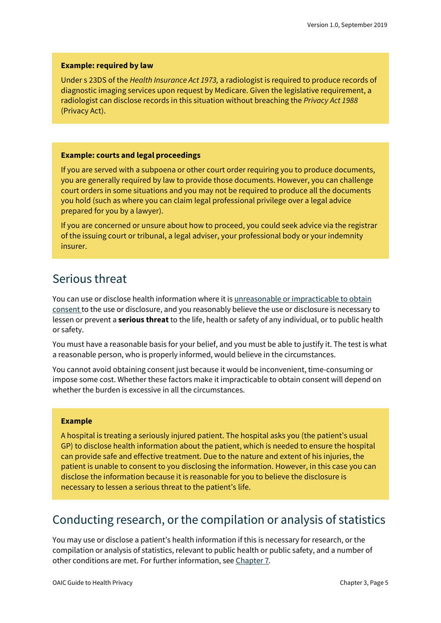#### **Example: required by law**

Under s 23DS of the *Health Insurance Act 1973,* a radiologist is required to produce records of diagnostic imaging services upon request by Medicare. Given the legislative requirement, a radiologist can disclose records in this situation without breaching the *Privacy Act 1988* (Privacy Act).

#### **Example: courts and legal proceedings**

If you are served with a subpoena or other court order requiring you to produce documents, you are generally required by law to provide those documents. However, you can challenge court orders in some situations and you may not be required to produce all the documents you hold (such as where you can claim legal professional privilege over a legal advice prepared for you by a lawyer).

If you are concerned or unsure about how to proceed, you could seek advice via the registrar of the issuing court or tribunal, a legal adviser, your professional body or your indemnity insurer.

### <span id="page-4-0"></span>Serious threat

You can use or disclose health information where it i[s unreasonable or impracticable to obtain](https://oaic.gov.au/privacy/australian-privacy-principles-guidelines/chapter-c-permitted-general-situations/)  [consent](https://oaic.gov.au/privacy/australian-privacy-principles-guidelines/chapter-c-permitted-general-situations/) to the use or disclosure, and you reasonably believe the use or disclosure is necessary to lessen or prevent a **serious threat**to the life, health or safety of any individual, or to public health or safety.

You must have a reasonable basis for your belief, and you must be able to justify it. The test is what a reasonable person, who is properly informed, would believe in the circumstances.

You cannot avoid obtaining consent just because it would be inconvenient, time-consuming or impose some cost. Whether these factors make it impracticable to obtain consent will depend on whether the burden is excessive in all the circumstances.

#### **Example**

A hospital is treating a seriously injured patient. The hospital asks you (the patient's usual GP) to disclose health information about the patient, which is needed to ensure the hospital can provide safe and effective treatment. Due to the nature and extent of his injuries, the patient is unable to consent to you disclosing the information. However, in this case you can disclose the information because it is reasonable for you to believe the disclosure is necessary to lessen a serious threat to the patient's life.

### <span id="page-4-1"></span>Conducting research, or the compilation or analysis of statistics

You may use or disclose a patient's health information if this is necessary for research, or the compilation or analysis of statistics, relevant to public health or public safety, and a number of other conditions are met. For further information, se[e Chapter 7](https://www.oaic.gov.au/privacy/guidance-and-advice/guide-to-health-privacy/chapter-7-disclosing-information-about-patients-with-impaired-capacity/)*.*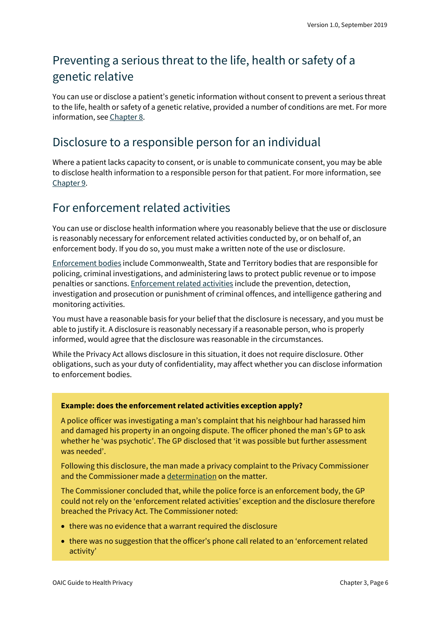### <span id="page-5-0"></span>Preventing a serious threat to the life, health or safety of a genetic relative

You can use or disclose a patient's genetic information without consent to prevent a serious threat to the life, health or safety of a genetic relative, provided a number of conditions are met. For more information, see [Chapter 8.](https://oaic.gov.au/privacy/guidance-and-advice/guide-to-health-privacy/chapter-8-using-and-disclosing-genetic-information-in-the-case-of-a-serious-threat/)

### <span id="page-5-1"></span>Disclosure to a responsible person for an individual

Where a patient lacks capacity to consent, or is unable to communicate consent, you may be able to disclose health information to a responsible person for that patient. For more information, see [Chapter 9.](https://oaic.gov.au/privacy/guidance-and-advice/guide-to-health-privacy/chapter-9-research/)

### <span id="page-5-2"></span>For enforcement related activities

You can use or disclose health information where you reasonably believe that the use or disclosure is reasonably necessary for enforcement related activities conducted by, or on behalf of, an enforcement body. If you do so, you must make a written note of the use or disclosure.

[Enforcement bodies](https://oaic.gov.au/privacy/australian-privacy-principles-guidelines/chapter-b-key-concepts/#enforcement-body) include Commonwealth, State and Territory bodies that are responsible for policing, criminal investigations, and administering laws to protect public revenue or to impose penalties or sanctions[. Enforcement related activities](https://oaic.gov.au/privacy/australian-privacy-principles-guidelines/chapter-b-key-concepts/#enforcement-related-activities) include the prevention, detection, investigation and prosecution or punishment of criminal offences, and intelligence gathering and monitoring activities.

You must have a reasonable basis for your belief that the disclosure is necessary, and you must be able to justify it. A disclosure is reasonably necessary if a reasonable person, who is properly informed, would agree that the disclosure was reasonable in the circumstances.

While the Privacy Act allows disclosure in this situation, it does not require disclosure. Other obligations, such as your duty of confidentiality, may affect whether you can disclose information to enforcement bodies.

#### **Example: does the enforcement related activities exception apply?**

A police officer was investigating a man's complaint that his neighbour had harassed him and damaged his property in an ongoing dispute. The officer phoned the man's GP to ask whether he 'was psychotic'. The GP disclosed that 'it was possible but further assessment was needed'.

Following this disclosure, the man made a privacy complaint to the Privacy Commissioner and the Commissioner made [a determination](http://www.austlii.edu.au/cgi-bin/viewdoc/au/cases/cth/AICmr/2015/23.html) on the matter.

The Commissioner concluded that, while the police force is an enforcement body, the GP could not rely on the 'enforcement related activities' exception and the disclosure therefore breached the Privacy Act. The Commissioner noted:

- there was no evidence that a warrant required the disclosure
- there was no suggestion that the officer's phone call related to an 'enforcement related activity'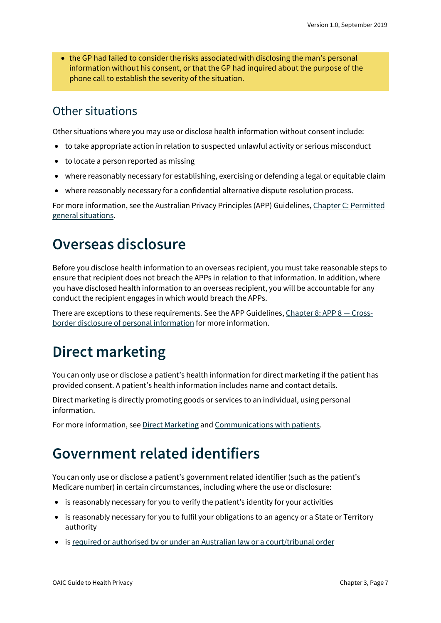• the GP had failed to consider the risks associated with disclosing the man's personal information without his consent, or that the GP had inquired about the purpose of the phone call to establish the severity of the situation.

### <span id="page-6-0"></span>Other situations

Other situations where you may use or disclose health information without consent include:

- to take appropriate action in relation to suspected unlawful activity or serious misconduct
- to locate a person reported as missing
- where reasonably necessary for establishing, exercising or defending a legal or equitable claim
- where reasonably necessary for a confidential alternative dispute resolution process.

For more information, see the Australian Privacy Principles (APP) Guidelines, [Chapter C: Permitted](https://oaic.gov.au/privacy/australian-privacy-principles-guidelines/chapter-c-permitted-general-situations/)  [general situations.](https://oaic.gov.au/privacy/australian-privacy-principles-guidelines/chapter-c-permitted-general-situations/)

# <span id="page-6-1"></span>**Overseas disclosure**

Before you disclose health information to an overseas recipient, you must take reasonable steps to ensure that recipient does not breach the APPs in relation to that information. In addition, where you have disclosed health information to an overseas recipient, you will be accountable for any conduct the recipient engages in which would breach the APPs.

There are exceptions to these requirements. See the APP Guidelines, [Chapter 8: APP 8 —](https://oaic.gov.au/privacy/australian-privacy-principles-guidelines/chapter-8-app-8-cross-border-disclosure-of-personal-information/) Cross[border disclosure of personal information](https://oaic.gov.au/privacy/australian-privacy-principles-guidelines/chapter-8-app-8-cross-border-disclosure-of-personal-information/) for more information.

# <span id="page-6-2"></span>**Direct marketing**

You can only use or disclose a patient's health information for direct marketing if the patient has provided consent. A patient's health information includes name and contact details.

Direct marketing is directly promoting goods or services to an individual, using personal information.

For more information, se[e Direct Marketing](https://oaic.gov.au/privacy/guidance-and-advice/direct-marketing/) an[d Communications with patients.](https://oaic.gov.au/privacy/privacy-for-health-service-providers/communications-with-patients/)

## <span id="page-6-3"></span>**Government related identifiers**

You can only use or disclose a patient's government related identifier (such as the patient's Medicare number) in certain circumstances, including where the use or disclosure:

- is reasonably necessary for you to verify the patient's identity for your activities
- is reasonably necessary for you to fulfil your obligations to an agency or a State or Territory authority
- i[s required or authorised by or under an Australian law or a court/tribunal order](https://oaic.gov.au/privacy/australian-privacy-principles-guidelines/chapter-b-key-concepts/#required-or-authorised-by-or-under-an-australian-law-or-a-courttribunal-order)